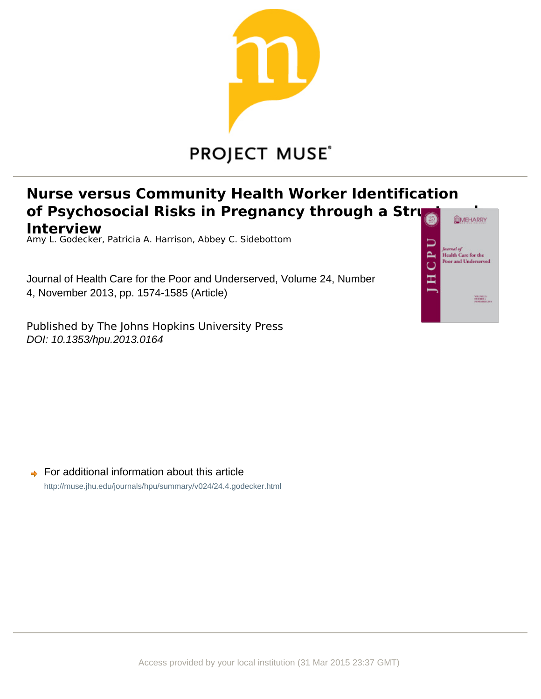

# **PROJECT MUSE®**

## **Nurse versus Community Health Worker Identification of Psychosocial Risks in Pregnancy through a Struppy Adventatory Interview**

Amy L. Godecker, Patricia A. Harrison, Abbey C. Sidebottom

Journal of Health Care for the Poor and Underserved, Volume 24, Number 4, November 2013, pp. 1574-1585 (Article)

Published by The Johns Hopkins University Press DOI: 10.1353/hpu.2013.0164



 $\rightarrow$  For additional information about this article <http://muse.jhu.edu/journals/hpu/summary/v024/24.4.godecker.html>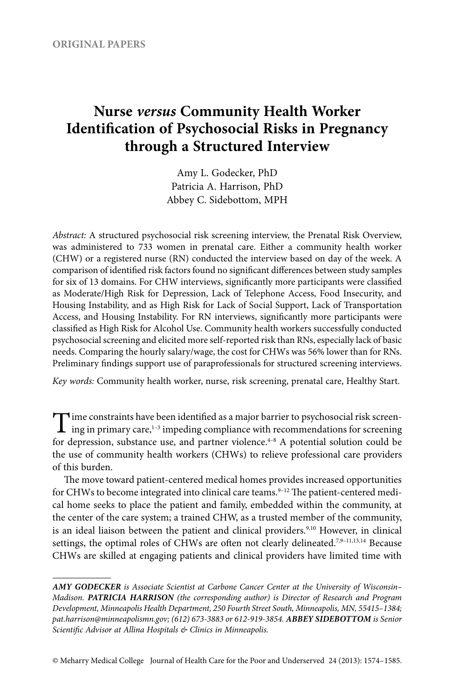## **Nurse** *versus* **Community Health Worker Identifi cation of Psychosocial Risks in Pregnancy through a Structured Interview**

Amy L. Godecker, PhD Patricia A. Harrison, PhD Abbey C. Sidebottom, MPH

*Abstract:* A structured psychosocial risk screening interview, the Prenatal Risk Overview, was administered to 733 women in prenatal care. Either a community health worker (CHW) or a registered nurse (RN) conducted the interview based on day of the week. A comparison of identified risk factors found no significant differences between study samples for six of 13 domains. For CHW interviews, significantly more participants were classified as Moderate/ High Risk for Depression, Lack of Telephone Access, Food Insecurity, and Housing Instability, and as High Risk for Lack of Social Support, Lack of Transportation Access, and Housing Instability. For RN interviews, significantly more participants were classified as High Risk for Alcohol Use. Community health workers successfully conducted psychosocial screening and elicited more self- reported risk than RNs, especially lack of basic needs. Comparing the hourly salary/ wage, the cost for CHWs was 56% lower than for RNs. Preliminary findings support use of paraprofessionals for structured screening interviews.

*Key words:* Community health worker, nurse, risk screening, prenatal care, Healthy Start.

 $\blacksquare$  ime constraints have been identified as a major barrier to psychosocial risk screen- $\perp$  ing in primary care,<sup>1–3</sup> impeding compliance with recommendations for screening for depression, substance use, and partner violence.<sup>4-8</sup> A potential solution could be the use of community health workers (CHWs) to relieve professional care providers of this burden.

The move toward patient-centered medical homes provides increased opportunities for CHWs to become integrated into clinical care teams.<sup>9-12</sup> The patient-centered medical home seeks to place the patient and family, embedded within the community, at the center of the care system; a trained CHW, as a trusted member of the community, is an ideal liaison between the patient and clinical providers.<sup>9,10</sup> However, in clinical settings, the optimal roles of CHWs are often not clearly delineated.<sup>7,9–11,13,14</sup> Because CHWs are skilled at engaging patients and clinical providers have limited time with

*AMY GODECKER is Associate Scientist at Carbone Cancer Center at the University of Wisconsin– Madison. PATRICIA HARRISON (the corresponding author) is Director of Research and Program Development, Minneapolis Health Department, 250 Fourth Street South, Minneapolis, MN, 55415– 1384; pat.harrison@minneapolismn .gov; (612) 673- 3883 or 612-919-3854. ABBEY SIDEBOTTOM is Senior*  Scientific Advisor at Allina Hospitals & Clinics in Minneapolis.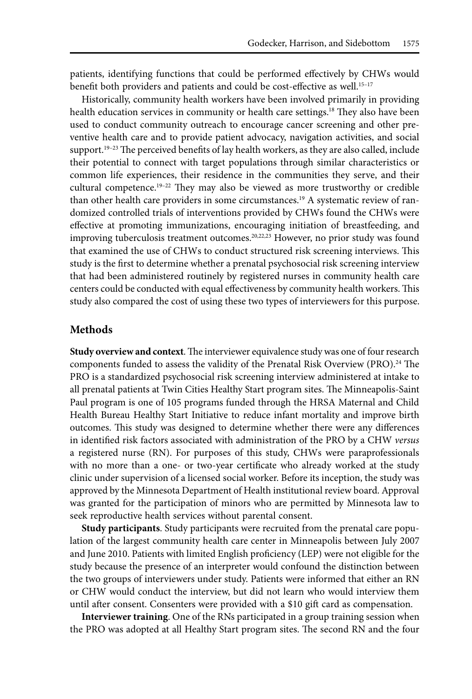patients, identifying functions that could be performed effectively by CHWs would benefit both providers and patients and could be cost-effective as well.<sup>15-17</sup>

Historically, community health workers have been involved primarily in providing health education services in community or health care settings.<sup>18</sup> They also have been used to conduct community outreach to encourage cancer screening and other preventive health care and to provide patient advocacy, navigation activities, and social support.<sup>19–23</sup> The perceived benefits of lay health workers, as they are also called, include their potential to connect with target populations through similar characteristics or common life experiences, their residence in the communities they serve, and their cultural competence.<sup>19-22</sup> They may also be viewed as more trustworthy or credible than other health care providers in some circumstances.<sup>19</sup> A systematic review of randomized controlled trials of interventions provided by CHWs found the CHWs were effective at promoting immunizations, encouraging initiation of breastfeeding, and improving tuberculosis treatment outcomes.<sup>20,22,23</sup> However, no prior study was found that examined the use of CHWs to conduct structured risk screening interviews. This study is the first to determine whether a prenatal psychosocial risk screening interview that had been administered routinely by registered nurses in community health care centers could be conducted with equal effectiveness by community health workers. This study also compared the cost of using these two types of interviewers for this purpose.

#### **Methods**

**Study overview and context**. The interviewer equivalence study was one of four research components funded to assess the validity of the Prenatal Risk Overview (PRO).<sup>24</sup> The PRO is a standardized psychosocial risk screening interview administered at intake to all prenatal patients at Twin Cities Healthy Start program sites. The Minneapolis-Saint Paul program is one of 105 programs funded through the HRSA Maternal and Child Health Bureau Healthy Start Initiative to reduce infant mortality and improve birth outcomes. This study was designed to determine whether there were any differences in identified risk factors associated with administration of the PRO by a CHW *versus* a registered nurse (RN). For purposes of this study, CHWs were paraprofessionals with no more than a one- or two-year certificate who already worked at the study clinic under supervision of a licensed social worker. Before its inception, the study was approved by the Minnesota Department of Health institutional review board. Approval was granted for the participation of minors who are permitted by Minnesota law to seek reproductive health services without parental consent.

**Study participants**. Study participants were recruited from the prenatal care population of the largest community health care center in Minneapolis between July 2007 and June 2010. Patients with limited English proficiency (LEP) were not eligible for the study because the presence of an interpreter would confound the distinction between the two groups of interviewers under study. Patients were informed that either an RN or CHW would conduct the interview, but did not learn who would interview them until after consent. Consenters were provided with a \$10 gift card as compensation.

**Interviewer training**. One of the RNs participated in a group training session when the PRO was adopted at all Healthy Start program sites. The second RN and the four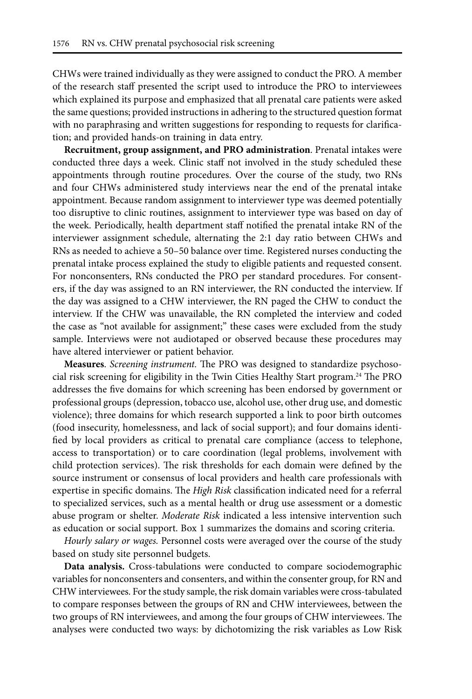CHWs were trained individually as they were assigned to conduct the PRO. A member of the research staff presented the script used to introduce the PRO to interviewees which explained its purpose and emphasized that all prenatal care patients were asked the same questions; provided instructions in adhering to the structured question format with no paraphrasing and written suggestions for responding to requests for clarification; and provided hands-on training in data entry.

**Recruitment, group assignment, and PRO administration**. Prenatal intakes were conducted three days a week. Clinic staff not involved in the study scheduled these appointments through routine procedures. Over the course of the study, two RNs and four CHWs administered study interviews near the end of the prenatal intake appointment. Because random assignment to interviewer type was deemed potentially too disruptive to clinic routines, assignment to interviewer type was based on day of the week. Periodically, health department staff notified the prenatal intake RN of the interviewer assignment schedule, alternating the 2:1 day ratio between CHWs and RNs as needed to achieve a 50– 50 balance over time. Registered nurses conducting the prenatal intake process explained the study to eligible patients and requested consent. For nonconsenters, RNs conducted the PRO per standard procedures. For consenters, if the day was assigned to an RN interviewer, the RN conducted the interview. If the day was assigned to a CHW interviewer, the RN paged the CHW to conduct the interview. If the CHW was unavailable, the RN completed the interview and coded the case as "not available for assignment;" these cases were excluded from the study sample. Interviews were not audiotaped or observed because these procedures may have altered interviewer or patient behavior.

**Measures**. *Screening instrument*. The PRO was designed to standardize psychosocial risk screening for eligibility in the Twin Cities Healthy Start program.<sup>24</sup> The PRO addresses the five domains for which screening has been endorsed by government or professional groups (depression, tobacco use, alcohol use, other drug use, and domestic violence); three domains for which research supported a link to poor birth outcomes (food insecurity, homelessness, and lack of social support); and four domains identified by local providers as critical to prenatal care compliance (access to telephone, access to transportation) or to care coordination (legal problems, involvement with child protection services). The risk thresholds for each domain were defined by the source instrument or consensus of local providers and health care professionals with expertise in specific domains. The *High Risk* classification indicated need for a referral to specialized services, such as a mental health or drug use assessment or a domestic abuse program or shelter. *Moderate Risk* indicated a less intensive intervention such as education or social support. Box 1 summarizes the domains and scoring criteria.

 *Hourly salary or wages.* Personnel costs were averaged over the course of the study based on study site personnel budgets.

Data analysis. Cross-tabulations were conducted to compare sociodemographic variables for nonconsenters and consenters, and within the consenter group, for RN and CHW interviewees. For the study sample, the risk domain variables were cross- tabulated to compare responses between the groups of RN and CHW interviewees, between the two groups of RN interviewees, and among the four groups of CHW interviewees. The analyses were conducted two ways: by dichotomizing the risk variables as Low Risk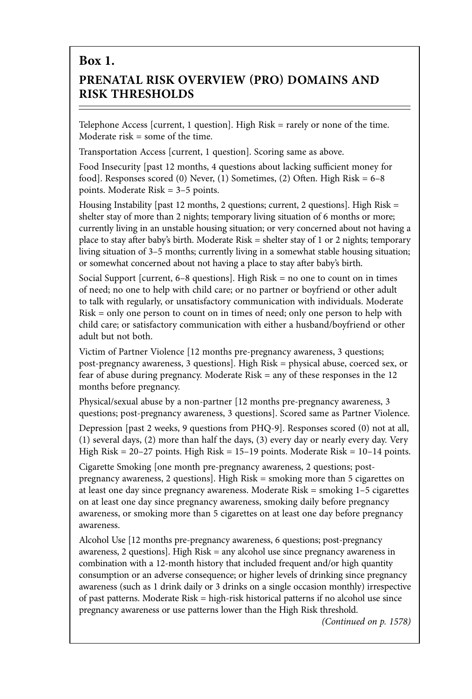## **Box 1.**

## **PRENATAL RISK OVERVIEW (PRO) DOMAINS AND RISK THRESHOLDS**

Telephone Access [current, 1 question]. High Risk = rarely or none of the time. Moderate risk = some of the time.

Transportation Access [current, 1 question]. Scoring same as above.

Food Insecurity [past 12 months, 4 questions about lacking sufficient money for food]. Responses scored (0) Never, (1) Sometimes, (2) Often. High Risk =  $6-8$ points. Moderate  $Risk = 3-5$  points.

Housing Instability [past 12 months, 2 questions; current, 2 questions]. High Risk = shelter stay of more than 2 nights; temporary living situation of 6 months or more; currently living in an unstable housing situation; or very concerned about not having a place to stay after baby's birth. Moderate Risk = shelter stay of 1 or 2 nights; temporary living situation of 3–5 months; currently living in a somewhat stable housing situation; or somewhat concerned about not having a place to stay after baby's birth.

Social Support [current,  $6-8$  questions]. High Risk = no one to count on in times of need; no one to help with child care; or no partner or boyfriend or other adult to talk with regularly, or unsatisfactory communication with individuals. Moderate Risk = only one person to count on in times of need; only one person to help with child care; or satisfactory communication with either a husband/boyfriend or other adult but not both.

Victim of Partner Violence [12 months pre- pregnancy awareness, 3 questions; post- pregnancy awareness, 3 questions]. High Risk = physical abuse, coerced sex, or fear of abuse during pregnancy. Moderate Risk = any of these responses in the 12 months before pregnancy.

Physical/sexual abuse by a non-partner [12 months pre-pregnancy awareness, 3 questions; post-pregnancy awareness, 3 questions]. Scored same as Partner Violence.

Depression [past 2 weeks, 9 questions from PHQ-9]. Responses scored (0) not at all, (1) several days, (2) more than half the days, (3) every day or nearly every day. Very High Risk =  $20-27$  points. High Risk =  $15-19$  points. Moderate Risk =  $10-14$  points.

Cigarette Smoking [one month pre- pregnancy awareness, 2 questions; postpregnancy awareness, 2 questions]. High Risk = smoking more than 5 cigarettes on at least one day since pregnancy awareness. Moderate Risk = smoking 1-5 cigarettes on at least one day since pregnancy awareness, smoking daily before pregnancy awareness, or smoking more than 5 cigarettes on at least one day before pregnancy awareness.

Alcohol Use [12 months pre- pregnancy awareness, 6 questions; post- pregnancy awareness, 2 questions]. High Risk = any alcohol use since pregnancy awareness in combination with a 12-month history that included frequent and/or high quantity consumption or an adverse consequence; or higher levels of drinking since pregnancy awareness (such as 1 drink daily or 3 drinks on a single occasion monthly) irrespective of past patterns. Moderate Risk = high- risk historical patterns if no alcohol use since pregnancy awareness or use patterns lower than the High Risk threshold.

*(Continued on p. 1578)*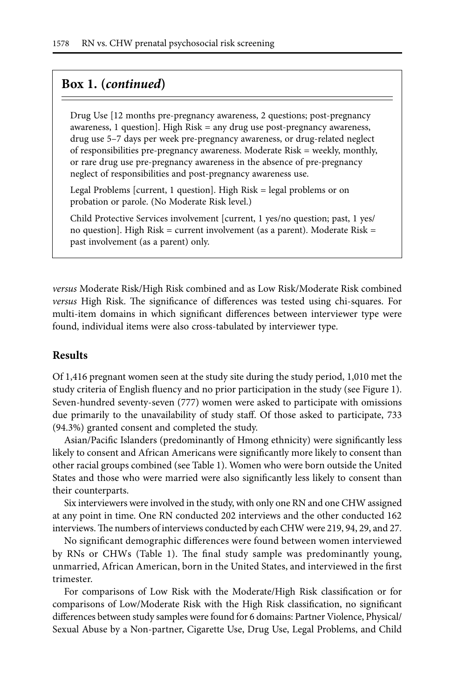#### **Box 1. (***continued***)**

Drug Use [12 months pre- pregnancy awareness, 2 questions; post- pregnancy awareness, 1 question]. High Risk = any drug use post- pregnancy awareness, drug use 5–7 days per week pre-pregnancy awareness, or drug-related neglect of responsibilities pre- pregnancy awareness. Moderate Risk = weekly, monthly, or rare drug use pre- pregnancy awareness in the absence of pre- pregnancy neglect of responsibilities and post-pregnancy awareness use.

Legal Problems [current, 1 question]. High Risk = legal problems or on probation or parole. (No Moderate Risk level.)

Child Protective Services involvement [current, 1 yes/no question; past, 1 yes/ no question]. High Risk = current involvement (as a parent). Moderate Risk = past involvement (as a parent) only.

*versus* Moderate Risk/ High Risk combined and as Low Risk/ Moderate Risk combined *versus* High Risk. The significance of differences was tested using chi-squares. For multi-item domains in which significant differences between interviewer type were found, individual items were also cross- tabulated by interviewer type.

#### **Results**

Of 1,416 pregnant women seen at the study site during the study period, 1,010 met the study criteria of English fluency and no prior participation in the study (see Figure 1). Seven- hundred seventy- seven (777) women were asked to participate with omissions due primarily to the unavailability of study staff. Of those asked to participate, 733 (94.3%) granted consent and completed the study.

Asian/Pacific Islanders (predominantly of Hmong ethnicity) were significantly less likely to consent and African Americans were significantly more likely to consent than other racial groups combined (see Table 1). Women who were born outside the United States and those who were married were also significantly less likely to consent than their counterparts.

 Six interviewers were involved in the study, with only one RN and one CHW assigned at any point in time. One RN conducted 202 interviews and the other conducted 162 interviews. The numbers of interviews conducted by each CHW were 219, 94, 29, and 27.

No significant demographic differences were found between women interviewed by RNs or CHWs (Table 1). The final study sample was predominantly young, unmarried, African American, born in the United States, and interviewed in the first trimester.

For comparisons of Low Risk with the Moderate/High Risk classification or for comparisons of Low/Moderate Risk with the High Risk classification, no significant differences between study samples were found for 6 domains: Partner Violence, Physical/ Sexual Abuse by a Non- partner, Cigarette Use, Drug Use, Legal Problems, and Child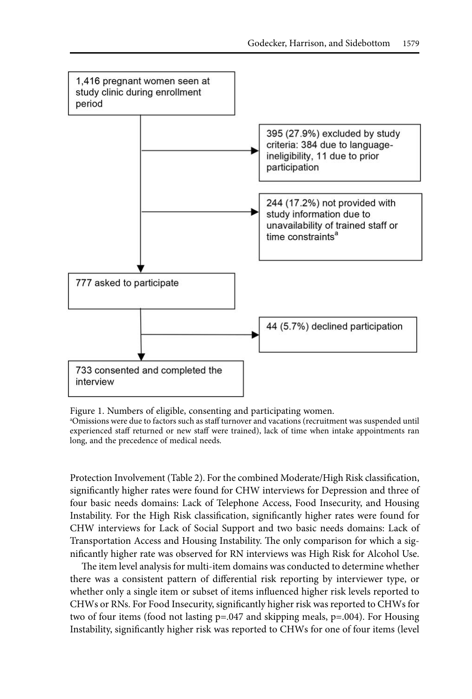

Figure 1. Numbers of eligible, consenting and participating women. a Omissions were due to factors such as staff turnover and vacations (recruitment was suspended until experienced staff returned or new staff were trained), lack of time when intake appointments ran long, and the precedence of medical needs.

Protection Involvement (Table 2). For the combined Moderate/High Risk classification, significantly higher rates were found for CHW interviews for Depression and three of four basic needs domains: Lack of Telephone Access, Food Insecurity, and Housing Instability. For the High Risk classification, significantly higher rates were found for CHW interviews for Lack of Social Support and two basic needs domains: Lack of Transportation Access and Housing Instability. The only comparison for which a significantly higher rate was observed for RN interviews was High Risk for Alcohol Use.

The item level analysis for multi-item domains was conducted to determine whether there was a consistent pattern of differential risk reporting by interviewer type, or whether only a single item or subset of items influenced higher risk levels reported to CHWs or RNs. For Food Insecurity, significantly higher risk was reported to CHWs for two of four items (food not lasting p=.047 and skipping meals, p=.004). For Housing Instability, significantly higher risk was reported to CHWs for one of four items (level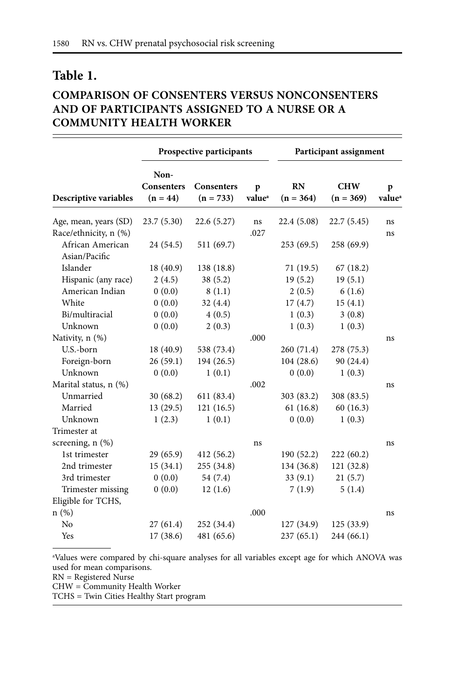## **Table 1.**

## **COMPARISON OF CONSENTERS VERSUS NONCONSENTERS AND OF PARTICIPANTS ASSIGNED TO A NURSE OR A COMMUNITY HEALTH WORKER**

|                                   | Prospective participants         |                           |                                    | Participant assignment |                           |                         |
|-----------------------------------|----------------------------------|---------------------------|------------------------------------|------------------------|---------------------------|-------------------------|
| Descriptive variables             | Non-<br>Consenters<br>$(n = 44)$ | Consenters<br>$(n = 733)$ | $\mathbf{p}$<br>value <sup>a</sup> | RN<br>$(n = 364)$      | <b>CHW</b><br>$(n = 369)$ | p<br>value <sup>a</sup> |
| Age, mean, years (SD)             | 23.7(5.30)                       | 22.6(5.27)                | ns                                 | 22.4 (5.08)            | 22.7(5.45)                | ns                      |
| Race/ethnicity, n (%)             |                                  |                           | .027                               |                        |                           | ns                      |
| African American<br>Asian/Pacific | 24 (54.5)                        | 511 (69.7)                |                                    | 253(69.5)              | 258 (69.9)                |                         |
| Islander                          | 18 (40.9)                        | 138 (18.8)                |                                    | 71 (19.5)              | 67(18.2)                  |                         |
| Hispanic (any race)               | 2(4.5)                           | 38(5.2)                   |                                    | 19(5.2)                | 19(5.1)                   |                         |
| American Indian                   | 0(0.0)                           | 8(1.1)                    |                                    | 2(0.5)                 | 6(1.6)                    |                         |
| White                             | 0(0.0)                           | 32(4.4)                   |                                    | 17(4.7)                | 15(4.1)                   |                         |
| Bi/multiracial                    | 0(0.0)                           | 4(0.5)                    |                                    | 1(0.3)                 | 3(0.8)                    |                         |
| Unknown                           | 0(0.0)                           | 2(0.3)                    |                                    | 1(0.3)                 | 1(0.3)                    |                         |
| Nativity, n (%)                   |                                  |                           | .000                               |                        |                           | ns                      |
| U.S.-born                         | 18 (40.9)                        | 538 (73.4)                |                                    | 260 (71.4)             | 278 (75.3)                |                         |
| Foreign-born                      | 26(59.1)                         | 194 (26.5)                |                                    | 104(28.6)              | 90 (24.4)                 |                         |
| Unknown                           | 0(0.0)                           | 1(0.1)                    |                                    | 0(0.0)                 | 1(0.3)                    |                         |
| Marital status, n (%)             |                                  |                           | .002                               |                        |                           | ns                      |
| Unmarried                         | 30(68.2)                         | 611 (83.4)                |                                    | 303 (83.2)             | 308 (83.5)                |                         |
| Married                           | 13(29.5)                         | 121(16.5)                 |                                    | 61(16.8)               | 60(16.3)                  |                         |
| Unknown                           | 1(2.3)                           | 1(0.1)                    |                                    | 0(0.0)                 | 1(0.3)                    |                         |
| Trimester at                      |                                  |                           |                                    |                        |                           |                         |
| screening, n (%)                  |                                  |                           | ns                                 |                        |                           | ns                      |
| 1st trimester                     | 29 (65.9)                        | 412 (56.2)                |                                    | 190(52.2)              | 222 (60.2)                |                         |
| 2nd trimester                     | 15(34.1)                         | 255 (34.8)                |                                    | 134 (36.8)             | 121(32.8)                 |                         |
| 3rd trimester                     | 0(0.0)                           | 54 (7.4)                  |                                    | 33(9.1)                | 21(5.7)                   |                         |
| Trimester missing                 | 0(0.0)                           | 12(1.6)                   |                                    | 7(1.9)                 | 5(1.4)                    |                         |
| Eligible for TCHS,                |                                  |                           |                                    |                        |                           |                         |
| $n$ (%)                           |                                  |                           | .000                               |                        |                           | ns                      |
| No                                | 27(61.4)                         | 252 (34.4)                |                                    | 127 (34.9)             | 125(33.9)                 |                         |
| Yes                               | 17(38.6)                         | 481 (65.6)                |                                    | 237(65.1)              | 244 (66.1)                |                         |

a Values were compared by chi- square analyses for all variables except age for which ANOVA was used for mean comparisons.

RN = Registered Nurse

CHW = Community Health Worker

TCHS = Twin Cities Healthy Start program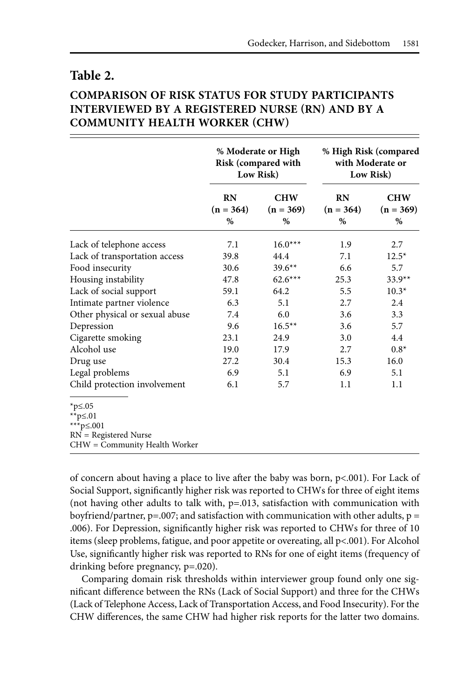### **Table 2.**

### **COMPARISON OF RISK STATUS FOR STUDY PARTICIPANTS INTERVIEWED BY A REGISTERED NURSE (RN) AND BY A COMMUNITY HEALTH WORKER (CHW)**

|                                                                                                               |                               | % Moderate or High<br>Risk (compared with<br>Low Risk) | % High Risk (compared<br>with Moderate or<br>Low Risk) |                                |  |
|---------------------------------------------------------------------------------------------------------------|-------------------------------|--------------------------------------------------------|--------------------------------------------------------|--------------------------------|--|
|                                                                                                               | <b>RN</b><br>$(n = 364)$<br>% | <b>CHW</b><br>$(n = 369)$<br>%                         | <b>RN</b><br>$(n = 364)$<br>%                          | <b>CHW</b><br>$(n = 369)$<br>% |  |
| Lack of telephone access                                                                                      | 7.1                           | $16.0***$                                              | 1.9                                                    | 2.7                            |  |
| Lack of transportation access                                                                                 | 39.8                          | 44.4                                                   | 7.1                                                    | $12.5*$                        |  |
| Food insecurity                                                                                               | 30.6                          | $39.6**$                                               | 6.6                                                    | 5.7                            |  |
| Housing instability                                                                                           | 47.8                          | $62.6***$                                              | 25.3                                                   | $33.9**$                       |  |
| Lack of social support                                                                                        | 59.1                          | 64.2                                                   | 5.5                                                    | $10.3*$                        |  |
| Intimate partner violence                                                                                     | 6.3                           | 5.1                                                    | 2.7                                                    | 2.4                            |  |
| Other physical or sexual abuse                                                                                | 7.4                           | 6.0                                                    | 3.6                                                    | 3.3                            |  |
| Depression                                                                                                    | 9.6                           | $16.5***$                                              | 3.6                                                    | 5.7                            |  |
| Cigarette smoking                                                                                             | 23.1                          | 24.9                                                   | 3.0                                                    | 4.4                            |  |
| Alcohol use                                                                                                   | 19.0                          | 17.9                                                   | 2.7                                                    | $0.8*$                         |  |
| Drug use                                                                                                      | 27.2                          | 30.4                                                   | 15.3                                                   | 16.0                           |  |
| Legal problems                                                                                                | 6.9                           | 5.1                                                    | 6.9                                                    | 5.1                            |  |
| Child protection involvement                                                                                  | 6.1                           | 5.7                                                    | 1.1                                                    | 1.1                            |  |
| * $p \le 0.05$<br>** $p≤.01$<br>*** $p \le 0.001$<br>$RN = Registered Nurse$<br>CHW = Community Health Worker |                               |                                                        |                                                        |                                |  |

of concern about having a place to live after the baby was born,  $p<.001$ ). For Lack of Social Support, significantly higher risk was reported to CHWs for three of eight items (not having other adults to talk with, p=.013, satisfaction with communication with boyfriend/partner,  $p=0.007$ ; and satisfaction with communication with other adults,  $p=$ .006). For Depression, significantly higher risk was reported to CHWs for three of 10 items (sleep problems, fatigue, and poor appetite or overeating, all p<.001). For Alcohol Use, significantly higher risk was reported to RNs for one of eight items (frequency of drinking before pregnancy, p=.020).

Comparing domain risk thresholds within interviewer group found only one significant difference between the RNs (Lack of Social Support) and three for the CHWs (Lack of Telephone Access, Lack of Transportation Access, and Food Insecurity). For the CHW differences, the same CHW had higher risk reports for the latter two domains.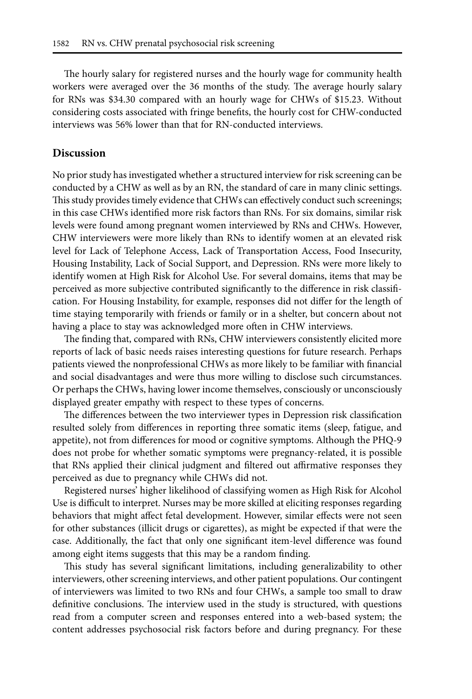The hourly salary for registered nurses and the hourly wage for community health workers were averaged over the 36 months of the study. The average hourly salary for RNs was \$34.30 compared with an hourly wage for CHWs of \$15.23. Without considering costs associated with fringe benefits, the hourly cost for CHW-conducted interviews was 56% lower than that for RN- conducted interviews.

#### **Discussion**

No prior study has investigated whether a structured interview for risk screening can be conducted by a CHW as well as by an RN, the standard of care in many clinic settings. This study provides timely evidence that CHWs can effectively conduct such screenings; in this case CHWs identified more risk factors than RNs. For six domains, similar risk levels were found among pregnant women interviewed by RNs and CHWs. However, CHW interviewers were more likely than RNs to identify women at an elevated risk level for Lack of Telephone Access, Lack of Transportation Access, Food Insecurity, Housing Instability, Lack of Social Support, and Depression. RNs were more likely to identify women at High Risk for Alcohol Use. For several domains, items that may be perceived as more subjective contributed significantly to the difference in risk classification. For Housing Instability, for example, responses did not differ for the length of time staying temporarily with friends or family or in a shelter, but concern about not having a place to stay was acknowledged more often in CHW interviews.

The finding that, compared with RNs, CHW interviewers consistently elicited more reports of lack of basic needs raises interesting questions for future research. Perhaps patients viewed the nonprofessional CHWs as more likely to be familiar with financial and social disadvantages and were thus more willing to disclose such circumstances. Or perhaps the CHWs, having lower income themselves, consciously or unconsciously displayed greater empathy with respect to these types of concerns.

The differences between the two interviewer types in Depression risk classification resulted solely from differences in reporting three somatic items (sleep, fatigue, and appetite), not from differences for mood or cognitive symptoms. Although the PHQ-9 does not probe for whether somatic symptoms were pregnancy- related, it is possible that RNs applied their clinical judgment and filtered out affirmative responses they perceived as due to pregnancy while CHWs did not.

Registered nurses' higher likelihood of classifying women as High Risk for Alcohol Use is difficult to interpret. Nurses may be more skilled at eliciting responses regarding behaviors that might affect fetal development. However, similar effects were not seen for other substances (illicit drugs or cigarettes), as might be expected if that were the case. Additionally, the fact that only one significant item-level difference was found among eight items suggests that this may be a random finding.

This study has several significant limitations, including generalizability to other interviewers, other screening interviews, and other patient populations. Our contingent of interviewers was limited to two RNs and four CHWs, a sample too small to draw definitive conclusions. The interview used in the study is structured, with questions read from a computer screen and responses entered into a web-based system; the content addresses psychosocial risk factors before and during pregnancy. For these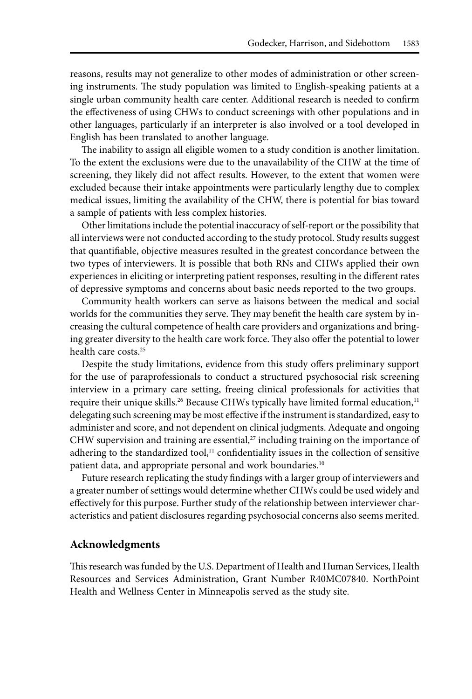reasons, results may not generalize to other modes of administration or other screening instruments. The study population was limited to English-speaking patients at a single urban community health care center. Additional research is needed to confirm the effectiveness of using CHWs to conduct screenings with other populations and in other languages, particularly if an interpreter is also involved or a tool developed in English has been translated to another language.

The inability to assign all eligible women to a study condition is another limitation. To the extent the exclusions were due to the unavailability of the CHW at the time of screening, they likely did not affect results. However, to the extent that women were excluded because their intake appointments were particularly lengthy due to complex medical issues, limiting the availability of the CHW, there is potential for bias toward a sample of patients with less complex histories.

Other limitations include the potential inaccuracy of self- report or the possibility that all interviews were not conducted according to the study protocol. Study results suggest that quantifiable, objective measures resulted in the greatest concordance between the two types of interviewers. It is possible that both RNs and CHWs applied their own experiences in eliciting or interpreting patient responses, resulting in the different rates of depressive symptoms and concerns about basic needs reported to the two groups.

Community health workers can serve as liaisons between the medical and social worlds for the communities they serve. They may benefit the health care system by increasing the cultural competence of health care providers and organizations and bringing greater diversity to the health care work force. They also offer the potential to lower health care costs.25

Despite the study limitations, evidence from this study offers preliminary support for the use of paraprofessionals to conduct a structured psychosocial risk screening interview in a primary care setting, freeing clinical professionals for activities that require their unique skills.<sup>26</sup> Because CHWs typically have limited formal education,<sup>11</sup> delegating such screening may be most effective if the instrument is standardized, easy to administer and score, and not dependent on clinical judgments. Adequate and ongoing CHW supervision and training are essential, $27$  including training on the importance of adhering to the standardized tool, $11$  confidentiality issues in the collection of sensitive patient data, and appropriate personal and work boundaries.<sup>10</sup>

Future research replicating the study findings with a larger group of interviewers and a greater number of settings would determine whether CHWs could be used widely and effectively for this purpose. Further study of the relationship between interviewer characteristics and patient disclosures regarding psychosocial concerns also seems merited.

#### **Acknowledgments**

This research was funded by the U.S. Department of Health and Human Services, Health Resources and Services Administration, Grant Number R40MC07840. NorthPoint Health and Wellness Center in Minneapolis served as the study site.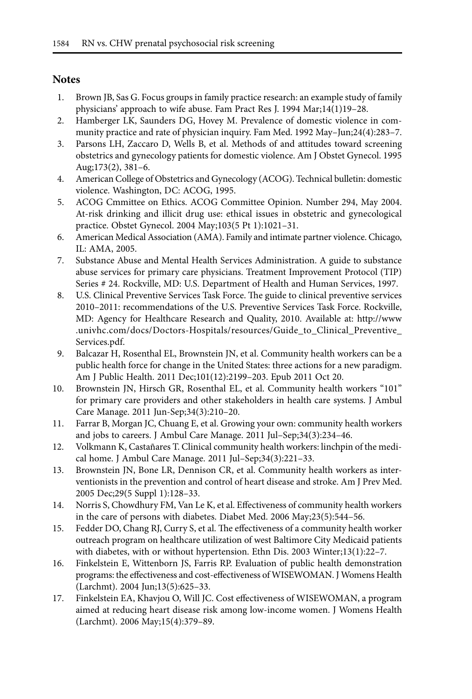#### **Notes**

- 1. Brown JB, Sas G. Focus groups in family practice research: an example study of family physicians' approach to wife abuse. Fam Pract Res J. 1994 Mar;14(1)19-28.
- 2. Hamberger LK, Saunders DG, Hovey M. Prevalence of domestic violence in community practice and rate of physician inquiry. Fam Med. 1992 May-Jun;24(4):283-7.
- 3. Parsons LH, Zaccaro D, Wells B, et al. Methods of and attitudes toward screening obstetrics and gynecology patients for domestic violence. Am J Obstet Gynecol. 1995 Aug; $173(2)$ ,  $381-6$ .
- 4. American College of Obstetrics and Gynecology (ACOG). Technical bulletin: domestic violence. Washington, DC: ACOG, 1995.
- 5. ACOG Cmmittee on Ethics. ACOG Committee Opinion. Number 294, May 2004. At- risk drinking and illicit drug use: ethical issues in obstetric and gynecological practice. Obstet Gynecol. 2004 May;103(5 Pt 1):1021-31.
- 6. American Medical Association (AMA). Family and intimate partner violence. Chicago, IL: AMA, 2005.
- 7. Substance Abuse and Mental Health Services Administration. A guide to substance abuse services for primary care physicians. Treatment Improvement Protocol (TIP) Series # 24. Rockville, MD: U.S. Department of Health and Human Services, 1997.
- 8. U.S. Clinical Preventive Services Task Force. The guide to clinical preventive services 2010– 2011: recommendations of the U.S. Preventive Services Task Force. Rockville, MD: Agency for Healthcare Research and Quality, 2010. Available at: http:// www .univhc .com/ docs/ Doctors-Hospitals/ resources/ Guide\_to\_Clinical\_Preventive\_ Services .pdf.
- 9. Balcazar H, Rosenthal EL, Brownstein JN, et al. Community health workers can be a public health force for change in the United States: three actions for a new paradigm. Am J Public Health. 2011 Dec;101(12):2199– 203. Epub 2011 Oct 20.
- 10. Brownstein JN, Hirsch GR, Rosenthal EL, et al. Community health workers "101" for primary care providers and other stakeholders in health care systems. J Ambul Care Manage. 2011 Jun-Sep;34(3):210-20.
- 11. Farrar B, Morgan JC, Chuang E, et al. Growing your own: community health workers and jobs to careers. J Ambul Care Manage. 2011 Jul-Sep;34(3):234-46.
- 12. Volkmann K, Castañares T. Clinical community health workers: linchpin of the medical home. J Ambul Care Manage. 2011 Jul– Sep;34(3):221– 33.
- 13. Brownstein JN, Bone LR, Dennison CR, et al. Community health workers as interventionists in the prevention and control of heart disease and stroke. Am J Prev Med. 2005 Dec; 29(5 Suppl 1): 128-33.
- 14. Norris S, Chowdhury FM, Van Le K, et al. Effectiveness of community health workers in the care of persons with diabetes. Diabet Med. 2006 May;23(5):544-56.
- 15. Fedder DO, Chang RJ, Curry S, et al. The effectiveness of a community health worker outreach program on healthcare utilization of west Baltimore City Medicaid patients with diabetes, with or without hypertension. Ethn Dis. 2003 Winter;13(1):22-7.
- 16. Finkelstein E, Wittenborn JS, Farris RP. Evaluation of public health demonstration programs: the effectiveness and cost-effectiveness of WISEWOMAN. J Womens Health (Larchmt). 2004 Jun;13(5):625– 33.
- 17. Finkelstein EA, Khavjou O, Will JC. Cost effectiveness of WISEWOMAN, a program aimed at reducing heart disease risk among low- income women. J Womens Health (Larchmt). 2006 May;15(4):379– 89.